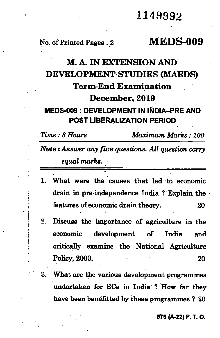## 1149992

### No. of Printed Pages : 2 **MEDS-009**

# **M. A. IN EXTENSION AND DEVELOPMENT STUDIES (MAEDS) Term-End Examination December, 2019**

#### **MEDS-009 : DEVELOPMENT IN INDIA—PRE AND POST LIBERALIZATION PERIOD ,**

*Time : 3 Hours Maximum Marks : 100* 

*Note : Answer any five questions. All question carry equal marks.* 

- 1. What were the causes that led to economic drain in pre-independence India ? Explain the • features of economic drain theory. 20
- 2. Discuss the importance of agriculture in the economic development of India and critically examine the National Agriculture Policy, 2000. 20 20
- 3. What are the various development programmes undertaken for SCs in India' ? How far they have been benefitted by these programmes ? 20

#### **575 (A.22) P. T. 0.**